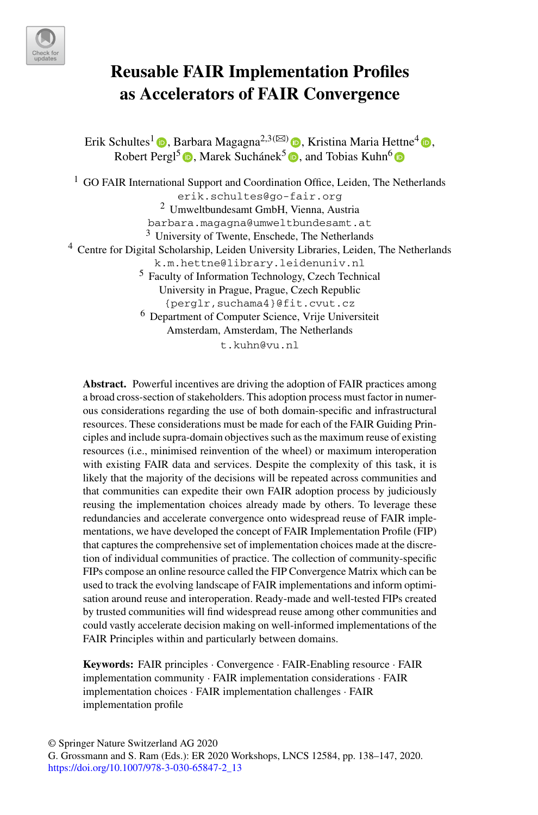

# **Reusable FAIR Implementation Profiles as Accelerators of FAIR Convergence**

Erik Schultes<sup>1</sup>  $\Phi$ . Barbara Magagna<sup>2[,](http://orcid.org/0000-0002-4182-7560)3( $\boxtimes$ )</sup>  $\Phi$ . Kristina Maria Hettne<sup>4</sup>  $\Phi$ . Robert Pergl<sup>5</sup>  $\mathbb{D}$ [,](http://orcid.org/0000-0001-7525-9218) Marek Suchánek<sup>5</sup>  $\mathbb{D}$ , and Tobias Kuhn<sup>6</sup>  $\mathbb{D}$ 

 $1$  GO FAIR International Support and Coordination Office, Leiden, The Netherlands erik.schultes@go-fair.org <sup>2</sup> Umweltbundesamt GmbH, Vienna, Austria barbara.magagna@umweltbundesamt.at <sup>3</sup> University of Twente, Enschede, The Netherlands <sup>4</sup> Centre for Digital Scholarship, Leiden University Libraries, Leiden, The Netherlands k.m.hettne@library.leidenuniv.nl <sup>5</sup> Faculty of Information Technology, Czech Technical University in Prague, Prague, Czech Republic {perglr,suchama4}@fit.cvut.cz <sup>6</sup> Department of Computer Science, Vrije Universiteit Amsterdam, Amsterdam, The Netherlands t.kuhn@vu.nl

**Abstract.** Powerful incentives are driving the adoption of FAIR practices among a broad cross-section of stakeholders. This adoption process must factor in numerous considerations regarding the use of both domain-specific and infrastructural resources. These considerations must be made for each of the FAIR Guiding Principles and include supra-domain objectives such as the maximum reuse of existing resources (i.e., minimised reinvention of the wheel) or maximum interoperation with existing FAIR data and services. Despite the complexity of this task, it is likely that the majority of the decisions will be repeated across communities and that communities can expedite their own FAIR adoption process by judiciously reusing the implementation choices already made by others. To leverage these redundancies and accelerate convergence onto widespread reuse of FAIR implementations, we have developed the concept of FAIR Implementation Profile (FIP) that captures the comprehensive set of implementation choices made at the discretion of individual communities of practice. The collection of community-specific FIPs compose an online resource called the FIP Convergence Matrix which can be used to track the evolving landscape of FAIR implementations and inform optimisation around reuse and interoperation. Ready-made and well-tested FIPs created by trusted communities will find widespread reuse among other communities and could vastly accelerate decision making on well-informed implementations of the FAIR Principles within and particularly between domains.

**Keywords:** FAIR principles · Convergence · FAIR-Enabling resource · FAIR implementation community · FAIR implementation considerations · FAIR implementation choices · FAIR implementation challenges · FAIR implementation profile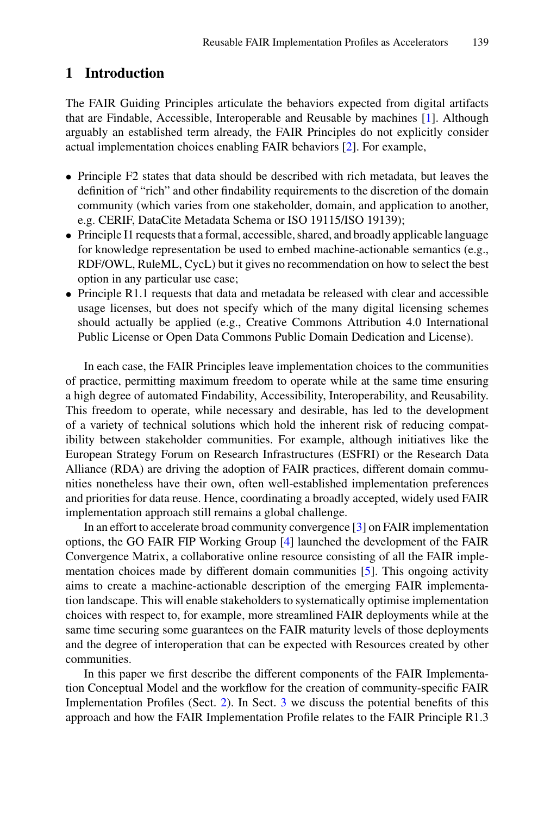### **1 Introduction**

The FAIR Guiding Principles articulate the behaviors expected from digital artifacts that are Findable, Accessible, Interoperable and Reusable by machines [\[1\]](#page-8-0). Although arguably an established term already, the FAIR Principles do not explicitly consider actual implementation choices enabling FAIR behaviors [\[2\]](#page-8-1). For example,

- Principle F2 states that data should be described with rich metadata, but leaves the definition of "rich" and other findability requirements to the discretion of the domain community (which varies from one stakeholder, domain, and application to another, e.g. CERIF, DataCite Metadata Schema or ISO 19115/ISO 19139);
- Principle I1 requests that a formal, accessible, shared, and broadly applicable language for knowledge representation be used to embed machine-actionable semantics (e.g., RDF/OWL, RuleML, CycL) but it gives no recommendation on how to select the best option in any particular use case;
- Principle R1.1 requests that data and metadata be released with clear and accessible usage licenses, but does not specify which of the many digital licensing schemes should actually be applied (e.g., Creative Commons Attribution 4.0 International Public License or Open Data Commons Public Domain Dedication and License).

In each case, the FAIR Principles leave implementation choices to the communities of practice, permitting maximum freedom to operate while at the same time ensuring a high degree of automated Findability, Accessibility, Interoperability, and Reusability. This freedom to operate, while necessary and desirable, has led to the development of a variety of technical solutions which hold the inherent risk of reducing compatibility between stakeholder communities. For example, although initiatives like the European Strategy Forum on Research Infrastructures (ESFRI) or the Research Data Alliance (RDA) are driving the adoption of FAIR practices, different domain communities nonetheless have their own, often well-established implementation preferences and priorities for data reuse. Hence, coordinating a broadly accepted, widely used FAIR implementation approach still remains a global challenge.

In an effort to accelerate broad community convergence [\[3\]](#page-8-2) on FAIR implementation options, the GO FAIR FIP Working Group [\[4\]](#page-8-3) launched the development of the FAIR Convergence Matrix, a collaborative online resource consisting of all the FAIR implementation choices made by different domain communities [\[5\]](#page-8-4). This ongoing activity aims to create a machine-actionable description of the emerging FAIR implementation landscape. This will enable stakeholders to systematically optimise implementation choices with respect to, for example, more streamlined FAIR deployments while at the same time securing some guarantees on the FAIR maturity levels of those deployments and the degree of interoperation that can be expected with Resources created by other communities.

In this paper we first describe the different components of the FAIR Implementation Conceptual Model and the workflow for the creation of community-specific FAIR Implementation Profiles (Sect. [2\)](#page-2-0). In Sect. [3](#page-6-0) we discuss the potential benefits of this approach and how the FAIR Implementation Profile relates to the FAIR Principle R1.3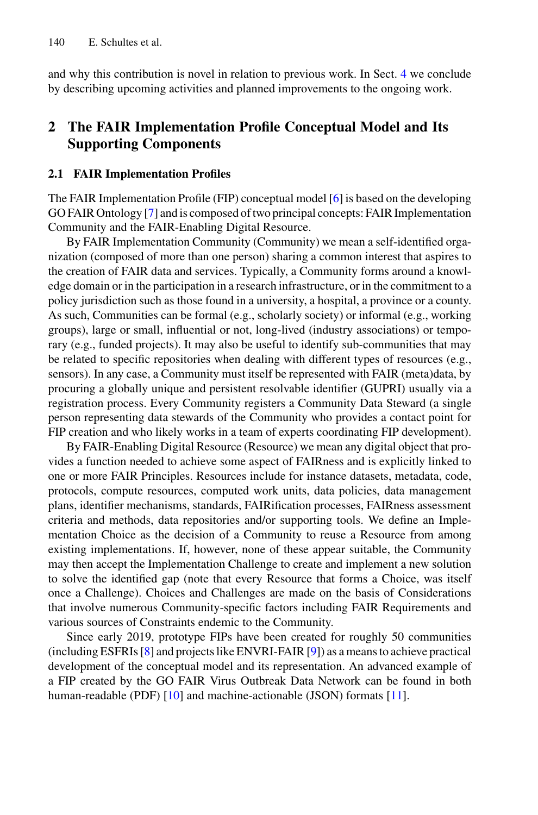and why this contribution is novel in relation to previous work. In Sect. [4](#page-8-5) we conclude by describing upcoming activities and planned improvements to the ongoing work.

### <span id="page-2-0"></span>**2 The FAIR Implementation Profile Conceptual Model and Its Supporting Components**

#### **2.1 FAIR Implementation Profiles**

The FAIR Implementation Profile (FIP) conceptual model [\[6\]](#page-8-6) is based on the developing GO FAIR Ontology [\[7\]](#page-8-7) and is composed of two principal concepts: FAIR Implementation Community and the FAIR-Enabling Digital Resource.

By FAIR Implementation Community (Community) we mean a self-identified organization (composed of more than one person) sharing a common interest that aspires to the creation of FAIR data and services. Typically, a Community forms around a knowledge domain or in the participation in a research infrastructure, or in the commitment to a policy jurisdiction such as those found in a university, a hospital, a province or a county. As such, Communities can be formal (e.g., scholarly society) or informal (e.g., working groups), large or small, influential or not, long-lived (industry associations) or temporary (e.g., funded projects). It may also be useful to identify sub-communities that may be related to specific repositories when dealing with different types of resources (e.g., sensors). In any case, a Community must itself be represented with FAIR (meta)data, by procuring a globally unique and persistent resolvable identifier (GUPRI) usually via a registration process. Every Community registers a Community Data Steward (a single person representing data stewards of the Community who provides a contact point for FIP creation and who likely works in a team of experts coordinating FIP development).

By FAIR-Enabling Digital Resource (Resource) we mean any digital object that provides a function needed to achieve some aspect of FAIRness and is explicitly linked to one or more FAIR Principles. Resources include for instance datasets, metadata, code, protocols, compute resources, computed work units, data policies, data management plans, identifier mechanisms, standards, FAIRification processes, FAIRness assessment criteria and methods, data repositories and/or supporting tools. We define an Implementation Choice as the decision of a Community to reuse a Resource from among existing implementations. If, however, none of these appear suitable, the Community may then accept the Implementation Challenge to create and implement a new solution to solve the identified gap (note that every Resource that forms a Choice, was itself once a Challenge). Choices and Challenges are made on the basis of Considerations that involve numerous Community-specific factors including FAIR Requirements and various sources of Constraints endemic to the Community.

Since early 2019, prototype FIPs have been created for roughly 50 communities (including ESFRIs [\[8\]](#page-8-8) and projects like ENVRI-FAIR [\[9\]](#page-8-9)) as a means to achieve practical development of the conceptual model and its representation. An advanced example of a FIP created by the GO FAIR Virus Outbreak Data Network can be found in both human-readable (PDF) [\[10\]](#page-8-10) and machine-actionable (JSON) formats [\[11\]](#page-8-11).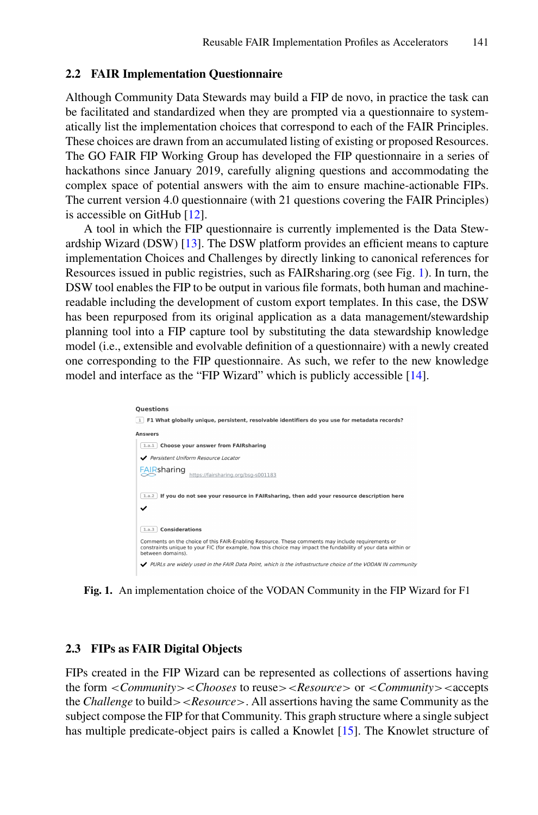#### **2.2 FAIR Implementation Questionnaire**

Although Community Data Stewards may build a FIP de novo, in practice the task can be facilitated and standardized when they are prompted via a questionnaire to systematically list the implementation choices that correspond to each of the FAIR Principles. These choices are drawn from an accumulated listing of existing or proposed Resources. The GO FAIR FIP Working Group has developed the FIP questionnaire in a series of hackathons since January 2019, carefully aligning questions and accommodating the complex space of potential answers with the aim to ensure machine-actionable FIPs. The current version 4.0 questionnaire (with 21 questions covering the FAIR Principles) is accessible on GitHub [\[12\]](#page-8-12).

A tool in which the FIP questionnaire is currently implemented is the Data Stewardship Wizard (DSW) [\[13\]](#page-8-13). The DSW platform provides an efficient means to capture implementation Choices and Challenges by directly linking to canonical references for Resources issued in public registries, such as FAIRsharing.org (see Fig. [1\)](#page-3-0). In turn, the DSW tool enables the FIP to be output in various file formats, both human and machinereadable including the development of custom export templates. In this case, the DSW has been repurposed from its original application as a data management/stewardship planning tool into a FIP capture tool by substituting the data stewardship knowledge model (i.e., extensible and evolvable definition of a questionnaire) with a newly created one corresponding to the FIP questionnaire. As such, we refer to the new knowledge model and interface as the "FIP Wizard" which is publicly accessible [\[14\]](#page-9-0).

```
Ouestions
[1] F1 What globally unique, persistent, resolvable identifiers do you use for metadata records?
Ancwers
 [1.a.1] Choose your answer from FAIRsharing
 Persistent Uniform Resource Locator
 FAIRsharing https://fairsharing.org/bsg-s001183
 \sqrt{1.a.2 If you do not see your resource in FAIRsharing, then add your resource description here
 [1.a.3] Considerations
 Comments on the choice of this FAIR-Enabling Resource. These comments may include requirements or
  constraints unique to your FIC (for example, now this choice may impact the fundability of your data within or
 between domains).
 PIRIs are widely used in the FAIR Data Point, which is the infrastructure choice of the VODAN IN community
```
<span id="page-3-0"></span>**Fig. 1.** An implementation choice of the VODAN Community in the FIP Wizard for F1

#### **2.3 FIPs as FAIR Digital Objects**

FIPs created in the FIP Wizard can be represented as collections of assertions having the form *<Community><Chooses* to reuse*><Resource>* or *<Community><*accepts the *Challenge* to build*><Resource>*. All assertions having the same Community as the subject compose the FIP for that Community. This graph structure where a single subject has multiple predicate-object pairs is called a Knowlet [\[15\]](#page-9-1). The Knowlet structure of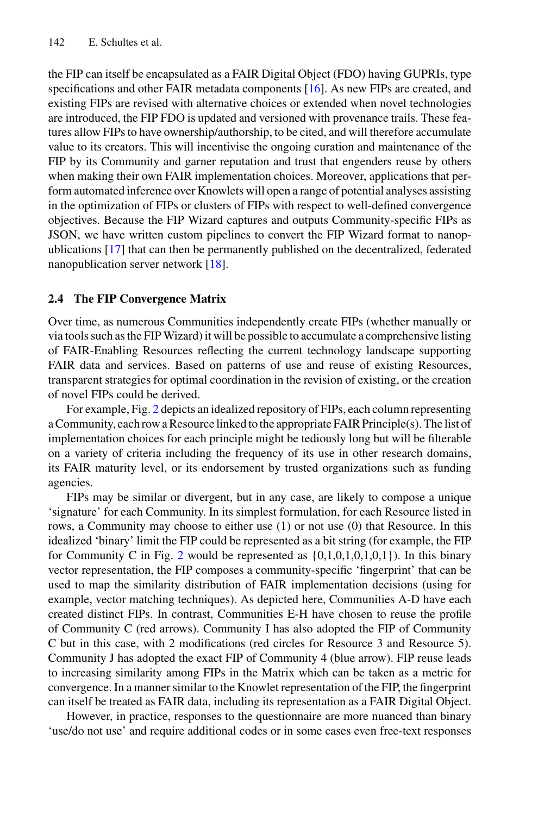the FIP can itself be encapsulated as a FAIR Digital Object (FDO) having GUPRIs, type specifications and other FAIR metadata components [\[16\]](#page-9-2). As new FIPs are created, and existing FIPs are revised with alternative choices or extended when novel technologies are introduced, the FIP FDO is updated and versioned with provenance trails. These features allow FIPs to have ownership/authorship, to be cited, and will therefore accumulate value to its creators. This will incentivise the ongoing curation and maintenance of the FIP by its Community and garner reputation and trust that engenders reuse by others when making their own FAIR implementation choices. Moreover, applications that perform automated inference over Knowlets will open a range of potential analyses assisting in the optimization of FIPs or clusters of FIPs with respect to well-defined convergence objectives. Because the FIP Wizard captures and outputs Community-specific FIPs as JSON, we have written custom pipelines to convert the FIP Wizard format to nanopublications [\[17\]](#page-9-3) that can then be permanently published on the decentralized, federated nanopublication server network [\[18\]](#page-9-4).

### **2.4 The FIP Convergence Matrix**

Over time, as numerous Communities independently create FIPs (whether manually or via tools such as the FIPWizard) it will be possible to accumulate a comprehensive listing of FAIR-Enabling Resources reflecting the current technology landscape supporting FAIR data and services. Based on patterns of use and reuse of existing Resources, transparent strategies for optimal coordination in the revision of existing, or the creation of novel FIPs could be derived.

For example, Fig. [2](#page-5-0) depicts an idealized repository of FIPs, each column representing a Community, each row a Resource linked to the appropriate FAIR Principle(s). The list of implementation choices for each principle might be tediously long but will be filterable on a variety of criteria including the frequency of its use in other research domains, its FAIR maturity level, or its endorsement by trusted organizations such as funding agencies.

FIPs may be similar or divergent, but in any case, are likely to compose a unique 'signature' for each Community. In its simplest formulation, for each Resource listed in rows, a Community may choose to either use (1) or not use (0) that Resource. In this idealized 'binary' limit the FIP could be represented as a bit string (for example, the FIP for Community C in Fig. [2](#page-5-0) would be represented as  $\{0,1,0,1,0,1,0,1\}$ ). In this binary vector representation, the FIP composes a community-specific 'fingerprint' that can be used to map the similarity distribution of FAIR implementation decisions (using for example, vector matching techniques). As depicted here, Communities A-D have each created distinct FIPs. In contrast, Communities E-H have chosen to reuse the profile of Community C (red arrows). Community I has also adopted the FIP of Community C but in this case, with 2 modifications (red circles for Resource 3 and Resource 5). Community J has adopted the exact FIP of Community 4 (blue arrow). FIP reuse leads to increasing similarity among FIPs in the Matrix which can be taken as a metric for convergence. In a manner similar to the Knowlet representation of the FIP, the fingerprint can itself be treated as FAIR data, including its representation as a FAIR Digital Object.

However, in practice, responses to the questionnaire are more nuanced than binary 'use/do not use' and require additional codes or in some cases even free-text responses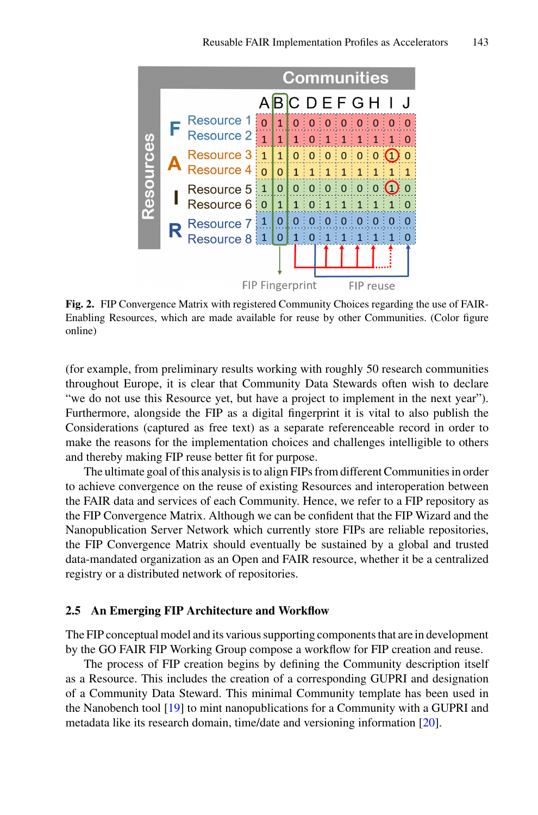

<span id="page-5-0"></span>**Fig. 2.** FIP Convergence Matrix with registered Community Choices regarding the use of FAIR-Enabling Resources, which are made available for reuse by other Communities. (Color figure online)

(for example, from preliminary results working with roughly 50 research communities throughout Europe, it is clear that Community Data Stewards often wish to declare "we do not use this Resource yet, but have a project to implement in the next year"). Furthermore, alongside the FIP as a digital fingerprint it is vital to also publish the Considerations (captured as free text) as a separate referenceable record in order to make the reasons for the implementation choices and challenges intelligible to others and thereby making FIP reuse better fit for purpose.

The ultimate goal of this analysis is to align FIPs from different Communities in order to achieve convergence on the reuse of existing Resources and interoperation between the FAIR data and services of each Community. Hence, we refer to a FIP repository as the FIP Convergence Matrix. Although we can be confident that the FIP Wizard and the Nanopublication Server Network which currently store FIPs are reliable repositories, the FIP Convergence Matrix should eventually be sustained by a global and trusted data-mandated organization as an Open and FAIR resource, whether it be a centralized registry or a distributed network of repositories.

#### **2.5 An Emerging FIP Architecture and Workflow**

The FIP conceptual model and its various supporting components that are in development by the GO FAIR FIP Working Group compose a workflow for FIP creation and reuse.

The process of FIP creation begins by defining the Community description itself as a Resource. This includes the creation of a corresponding GUPRI and designation of a Community Data Steward. This minimal Community template has been used in the Nanobench tool [\[19\]](#page-9-5) to mint nanopublications for a Community with a GUPRI and metadata like its research domain, time/date and versioning information [\[20\]](#page-9-6).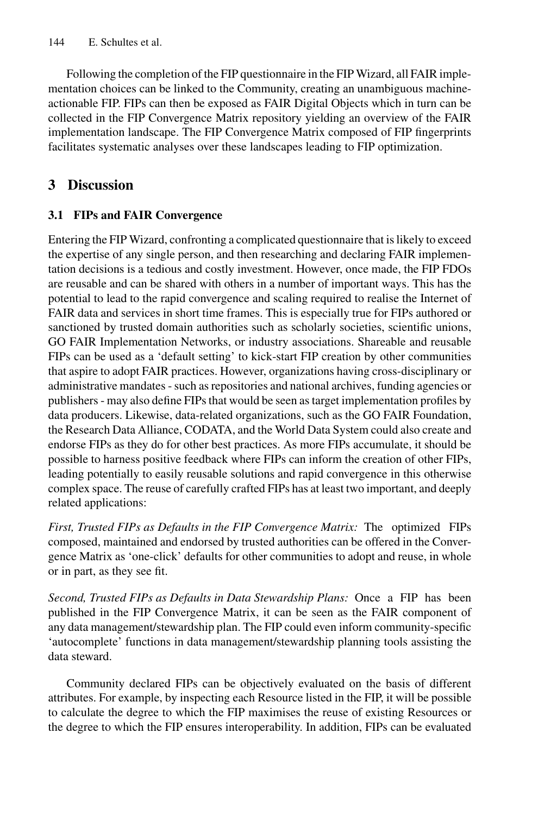Following the completion of the FIP questionnaire in the FIP Wizard, all FAIR implementation choices can be linked to the Community, creating an unambiguous machineactionable FIP. FIPs can then be exposed as FAIR Digital Objects which in turn can be collected in the FIP Convergence Matrix repository yielding an overview of the FAIR implementation landscape. The FIP Convergence Matrix composed of FIP fingerprints facilitates systematic analyses over these landscapes leading to FIP optimization.

# <span id="page-6-0"></span>**3 Discussion**

### **3.1 FIPs and FAIR Convergence**

Entering the FIP Wizard, confronting a complicated questionnaire that is likely to exceed the expertise of any single person, and then researching and declaring FAIR implementation decisions is a tedious and costly investment. However, once made, the FIP FDOs are reusable and can be shared with others in a number of important ways. This has the potential to lead to the rapid convergence and scaling required to realise the Internet of FAIR data and services in short time frames. This is especially true for FIPs authored or sanctioned by trusted domain authorities such as scholarly societies, scientific unions, GO FAIR Implementation Networks, or industry associations. Shareable and reusable FIPs can be used as a 'default setting' to kick-start FIP creation by other communities that aspire to adopt FAIR practices. However, organizations having cross-disciplinary or administrative mandates - such as repositories and national archives, funding agencies or publishers - may also define FIPs that would be seen as target implementation profiles by data producers. Likewise, data-related organizations, such as the GO FAIR Foundation, the Research Data Alliance, CODATA, and the World Data System could also create and endorse FIPs as they do for other best practices. As more FIPs accumulate, it should be possible to harness positive feedback where FIPs can inform the creation of other FIPs, leading potentially to easily reusable solutions and rapid convergence in this otherwise complex space. The reuse of carefully crafted FIPs has at least two important, and deeply related applications:

*First, Trusted FIPs as Defaults in the FIP Convergence Matrix:* The optimized FIPs composed, maintained and endorsed by trusted authorities can be offered in the Convergence Matrix as 'one-click' defaults for other communities to adopt and reuse, in whole or in part, as they see fit.

*Second, Trusted FIPs as Defaults in Data Stewardship Plans:* Once a FIP has been published in the FIP Convergence Matrix, it can be seen as the FAIR component of any data management/stewardship plan. The FIP could even inform community-specific 'autocomplete' functions in data management/stewardship planning tools assisting the data steward.

Community declared FIPs can be objectively evaluated on the basis of different attributes. For example, by inspecting each Resource listed in the FIP, it will be possible to calculate the degree to which the FIP maximises the reuse of existing Resources or the degree to which the FIP ensures interoperability. In addition, FIPs can be evaluated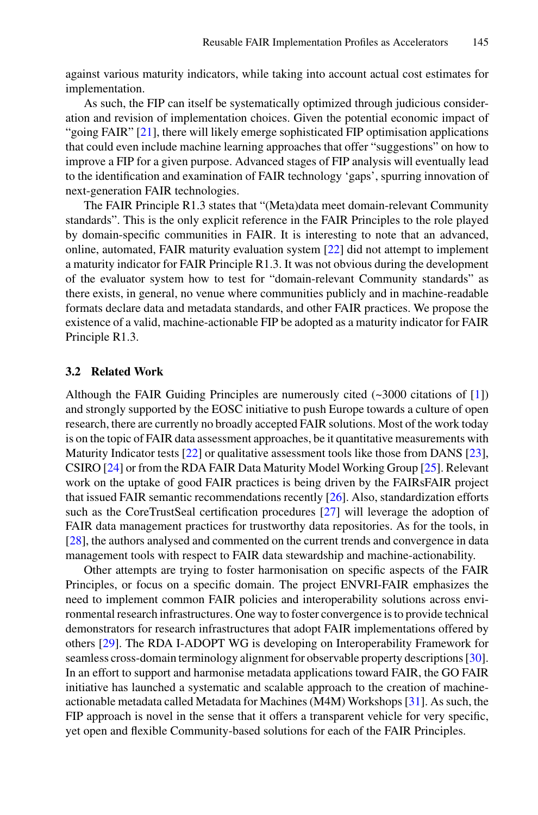against various maturity indicators, while taking into account actual cost estimates for implementation.

As such, the FIP can itself be systematically optimized through judicious consideration and revision of implementation choices. Given the potential economic impact of "going FAIR" [\[21\]](#page-9-7), there will likely emerge sophisticated FIP optimisation applications that could even include machine learning approaches that offer "suggestions" on how to improve a FIP for a given purpose. Advanced stages of FIP analysis will eventually lead to the identification and examination of FAIR technology 'gaps', spurring innovation of next-generation FAIR technologies.

The FAIR Principle R1.3 states that "(Meta)data meet domain-relevant Community standards". This is the only explicit reference in the FAIR Principles to the role played by domain-specific communities in FAIR. It is interesting to note that an advanced, online, automated, FAIR maturity evaluation system [\[22\]](#page-9-8) did not attempt to implement a maturity indicator for FAIR Principle R1.3. It was not obvious during the development of the evaluator system how to test for "domain-relevant Community standards" as there exists, in general, no venue where communities publicly and in machine-readable formats declare data and metadata standards, and other FAIR practices. We propose the existence of a valid, machine-actionable FIP be adopted as a maturity indicator for FAIR Principle R1.3.

#### **3.2 Related Work**

Although the FAIR Guiding Principles are numerously cited (~3000 citations of [\[1\]](#page-8-0)) and strongly supported by the EOSC initiative to push Europe towards a culture of open research, there are currently no broadly accepted FAIR solutions. Most of the work today is on the topic of FAIR data assessment approaches, be it quantitative measurements with Maturity Indicator tests [\[22\]](#page-9-8) or qualitative assessment tools like those from DANS [\[23\]](#page-9-9), CSIRO [\[24\]](#page-9-10) or from the RDA FAIR Data Maturity Model Working Group [\[25\]](#page-9-11). Relevant work on the uptake of good FAIR practices is being driven by the FAIRsFAIR project that issued FAIR semantic recommendations recently [\[26\]](#page-9-12). Also, standardization efforts such as the CoreTrustSeal certification procedures [\[27\]](#page-9-13) will leverage the adoption of FAIR data management practices for trustworthy data repositories. As for the tools, in [\[28\]](#page-9-14), the authors analysed and commented on the current trends and convergence in data management tools with respect to FAIR data stewardship and machine-actionability.

Other attempts are trying to foster harmonisation on specific aspects of the FAIR Principles, or focus on a specific domain. The project ENVRI-FAIR emphasizes the need to implement common FAIR policies and interoperability solutions across environmental research infrastructures. One way to foster convergence is to provide technical demonstrators for research infrastructures that adopt FAIR implementations offered by others [\[29\]](#page-9-15). The RDA I-ADOPT WG is developing on Interoperability Framework for seamless cross-domain terminology alignment for observable property descriptions [\[30\]](#page-9-16). In an effort to support and harmonise metadata applications toward FAIR, the GO FAIR initiative has launched a systematic and scalable approach to the creation of machineactionable metadata called Metadata for Machines (M4M) Workshops [\[31\]](#page-9-17). As such, the FIP approach is novel in the sense that it offers a transparent vehicle for very specific, yet open and flexible Community-based solutions for each of the FAIR Principles.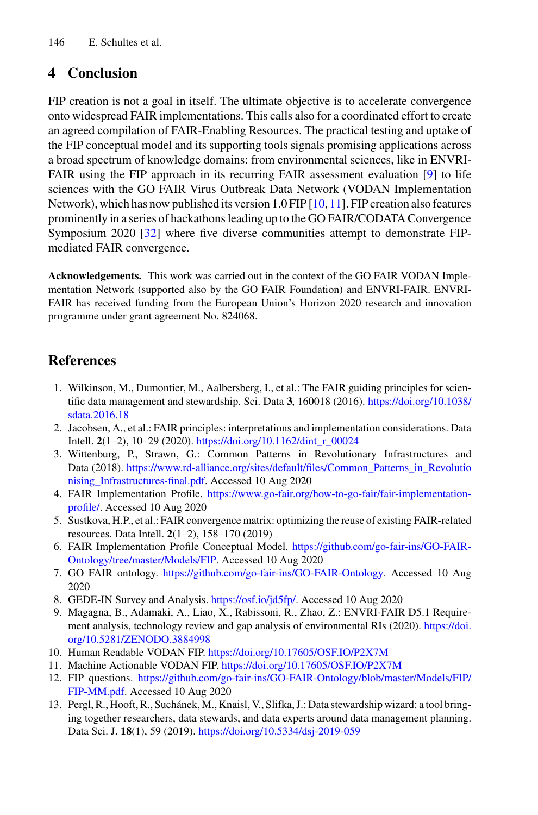## <span id="page-8-5"></span>**4 Conclusion**

FIP creation is not a goal in itself. The ultimate objective is to accelerate convergence onto widespread FAIR implementations. This calls also for a coordinated effort to create an agreed compilation of FAIR-Enabling Resources. The practical testing and uptake of the FIP conceptual model and its supporting tools signals promising applications across a broad spectrum of knowledge domains: from environmental sciences, like in ENVRI-FAIR using the FIP approach in its recurring FAIR assessment evaluation [\[9\]](#page-8-9) to life sciences with the GO FAIR Virus Outbreak Data Network (VODAN Implementation Network), which has now published its version  $1.0$  FIP  $[10, 11]$  $[10, 11]$  $[10, 11]$ . FIP creation also features prominently in a series of hackathons leading up to the GO FAIR/CODATA Convergence Symposium 2020 [\[32\]](#page-9-18) where five diverse communities attempt to demonstrate FIPmediated FAIR convergence.

**Acknowledgements.** This work was carried out in the context of the GO FAIR VODAN Implementation Network (supported also by the GO FAIR Foundation) and ENVRI-FAIR. ENVRI-FAIR has received funding from the European Union's Horizon 2020 research and innovation programme under grant agreement No. 824068.

# **References**

- <span id="page-8-0"></span>1. Wilkinson, M., Dumontier, M., Aalbersberg, I., et al.: The FAIR guiding principles for scien[tific data management and stewardship. Sci. Data](https://doi.org/10.1038/sdata.2016.18) **3**, 160018 (2016). https://doi.org/10.1038/ sdata.2016.18
- <span id="page-8-1"></span>2. Jacobsen, A., et al.: FAIR principles: interpretations and implementation considerations. Data Intell. **2**(1–2), 10–29 (2020). [https://doi.org/10.1162/dint\\_r\\_00024](https://doi.org/10.1162/dint_r_00024)
- <span id="page-8-2"></span>3. Wittenburg, P., Strawn, G.: Common Patterns in Revolutionary Infrastructures and Data (2018). [https://www.rd-alliance.org/sites/default/files/Common\\_Patterns\\_in\\_Revolutio](https://www.rd-alliance.org/sites/default/files/Common_Patterns_in_Revolutionising_Infrastructures-final.pdf) nising\_Infrastructures-final.pdf. Accessed 10 Aug 2020
- <span id="page-8-3"></span>4. FAIR Implementation Profile. [https://www.go-fair.org/how-to-go-fair/fair-implementation](https://www.go-fair.org/how-to-go-fair/fair-implementation-profile/)profile/. Accessed 10 Aug 2020
- <span id="page-8-4"></span>5. Sustkova, H.P., et al.: FAIR convergence matrix: optimizing the reuse of existing FAIR-related resources. Data Intell. **2**(1–2), 158–170 (2019)
- <span id="page-8-6"></span>6. FAIR Implementation Profile Conceptual Model. https://github.com/go-fair-ins/GO-FAIR-[Ontology/tree/master/Models/FIP. Accessed 10 Aug 2020](https://github.com/go-fair-ins/GO-FAIR-Ontology/tree/master/Models/FIP)
- <span id="page-8-7"></span>7. GO FAIR ontology. [https://github.com/go-fair-ins/GO-FAIR-Ontology.](https://github.com/go-fair-ins/GO-FAIR-Ontology) Accessed 10 Aug 2020
- <span id="page-8-8"></span>8. GEDE-IN Survey and Analysis. [https://osf.io/jd5fp/.](https://osf.io/jd5fp/) Accessed 10 Aug 2020
- <span id="page-8-9"></span>9. Magagna, B., Adamaki, A., Liao, X., Rabissoni, R., Zhao, Z.: ENVRI-FAIR D5.1 Require[ment analysis, technology review and gap analysis of environmental RIs \(2020\).](https://doi.org/10.5281/ZENODO.3884998) https://doi. org/10.5281/ZENODO.3884998
- <span id="page-8-10"></span>10. Human Readable VODAN FIP. <https://doi.org/10.17605/OSF.IO/P2X7M>
- <span id="page-8-11"></span>11. Machine Actionable VODAN FIP. <https://doi.org/10.17605/OSF.IO/P2X7M>
- <span id="page-8-12"></span>12. FIP questions. [https://github.com/go-fair-ins/GO-FAIR-Ontology/blob/master/Models/FIP/](https://github.com/go-fair-ins/GO-FAIR-Ontology/blob/master/Models/FIP/FIP-MM.pdf) FIP-MM.pdf. Accessed 10 Aug 2020
- <span id="page-8-13"></span>13. Pergl, R., Hooft, R., Suchánek, M., Knaisl, V., Slifka, J.: Data stewardship wizard: a tool bringing together researchers, data stewards, and data experts around data management planning. Data Sci. J. **18**(1), 59 (2019). <https://doi.org/10.5334/dsj-2019-059>